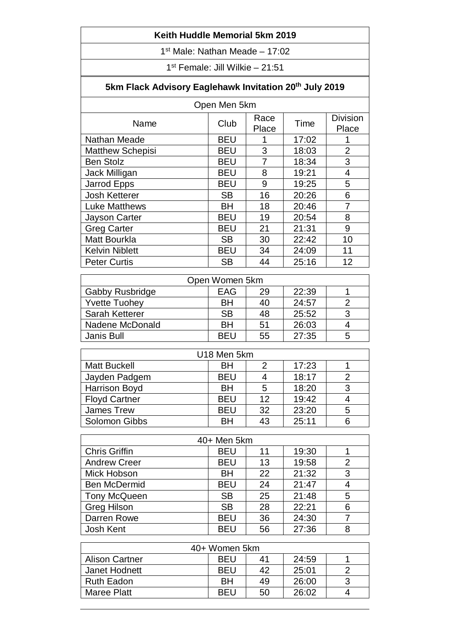## **Keith Huddle Memorial 5km 2019**

1 st Male: Nathan Meade – 17:02

1 st Female: Jill Wilkie – 21:51

## **5km Flack Advisory Eaglehawk Invitation 20th July 2019**

| Open Men 5km            |            |               |       |                          |  |
|-------------------------|------------|---------------|-------|--------------------------|--|
| Name                    | Club       | Race<br>Place | Time  | <b>Division</b><br>Place |  |
| Nathan Meade            | <b>BEU</b> |               | 17:02 |                          |  |
| <b>Matthew Schepisi</b> | <b>BEU</b> | 3             | 18:03 | $\overline{2}$           |  |
| <b>Ben Stolz</b>        | <b>BEU</b> | 7             | 18:34 | 3                        |  |
| Jack Milligan           | <b>BEU</b> | 8             | 19:21 | $\overline{4}$           |  |
| Jarrod Epps             | <b>BEU</b> | 9             | 19:25 | 5                        |  |
| <b>Josh Ketterer</b>    | <b>SB</b>  | 16            | 20:26 | 6                        |  |
| <b>Luke Matthews</b>    | BH         | 18            | 20:46 | 7                        |  |
| Jayson Carter           | <b>BEU</b> | 19            | 20:54 | 8                        |  |
| <b>Greg Carter</b>      | <b>BEU</b> | 21            | 21:31 | 9                        |  |
| Matt Bourkla            | <b>SB</b>  | 30            | 22:42 | 10                       |  |
| <b>Kelvin Niblett</b>   | <b>BEU</b> | 34            | 24:09 | 11                       |  |
| <b>Peter Curtis</b>     | <b>SB</b>  | 44            | 25:16 | 12                       |  |
|                         |            |               |       |                          |  |
| Open Women 5km          |            |               |       |                          |  |
| Gabby Rusbridge         | <b>EAG</b> | 29            | 22:39 | 1                        |  |
| <b>Yvette Tuohey</b>    | BH         | 40            | 24:57 | $\overline{2}$           |  |

| <b>Yvette Tuohey</b>  | <b>BH</b>  | 40 | 24:57 |   |
|-----------------------|------------|----|-------|---|
| <b>Sarah Ketterer</b> | <b>SB</b>  | 48 | 25:52 |   |
| Nadene McDonald       | BН         | 51 | 26:03 |   |
| Janis Bull            | <b>REL</b> | 55 | 27:35 | 5 |
|                       |            |    |       |   |

| U18 Men 5km          |            |    |       |   |
|----------------------|------------|----|-------|---|
| <b>Matt Buckell</b>  | <b>BH</b>  |    | 17:23 |   |
| Jayden Padgem        | <b>BEU</b> |    | 18:17 |   |
| <b>Harrison Boyd</b> | <b>BH</b>  | 5  | 18:20 | 3 |
| <b>Floyd Cartner</b> | <b>BEU</b> | 12 | 19:42 |   |
| <b>James Trew</b>    | <b>BEU</b> | 32 | 23:20 | 5 |
| <b>Solomon Gibbs</b> | <b>BH</b>  | 43 | 25:11 |   |

| 40+ Men 5km          |            |    |       |   |
|----------------------|------------|----|-------|---|
| <b>Chris Griffin</b> | <b>BEU</b> | 11 | 19:30 |   |
| <b>Andrew Creer</b>  | <b>BEU</b> | 13 | 19:58 | 2 |
| Mick Hobson          | <b>BH</b>  | 22 | 21:32 | 3 |
| <b>Ben McDermid</b>  | <b>BEU</b> | 24 | 21:47 |   |
| <b>Tony McQueen</b>  | <b>SB</b>  | 25 | 21:48 | 5 |
| <b>Greg Hilson</b>   | <b>SB</b>  | 28 | 22:21 | 6 |
| Darren Rowe          | <b>BEU</b> | 36 | 24:30 |   |
| Josh Kent            | <b>BEU</b> | 56 | 27:36 | 8 |

| 40+ Women 5km         |            |    |       |  |
|-----------------------|------------|----|-------|--|
| <b>Alison Cartner</b> | <b>BEU</b> | 41 | 24:59 |  |
| Janet Hodnett         | <b>BEU</b> | 42 | 25:01 |  |
| <b>Ruth Eadon</b>     | BН         | 49 | 26:00 |  |
| <b>Maree Platt</b>    | <b>REU</b> | 50 | 26:02 |  |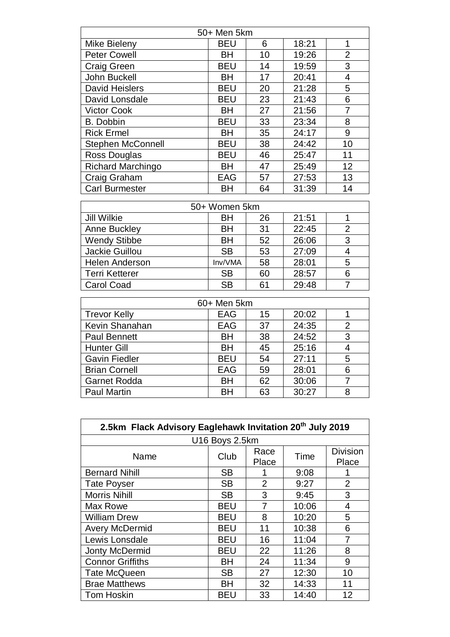| 50+ Men 5km              |               |    |       |                |  |
|--------------------------|---------------|----|-------|----------------|--|
| Mike Bieleny             | <b>BEU</b>    | 6  | 18:21 | 1              |  |
| <b>Peter Cowell</b>      | BН            | 10 | 19:26 | $\overline{2}$ |  |
| Craig Green              | <b>BEU</b>    | 14 | 19:59 | 3              |  |
| John Buckell             | ВH            | 17 | 20:41 | 4              |  |
| <b>David Heislers</b>    | <b>BEU</b>    | 20 | 21:28 | 5              |  |
| David Lonsdale           | <b>BEU</b>    | 23 | 21:43 | 6              |  |
| <b>Victor Cook</b>       | BН            | 27 | 21:56 | 7              |  |
| <b>B.</b> Dobbin         | <b>BEU</b>    | 33 | 23:34 | 8              |  |
| <b>Rick Ermel</b>        | ВH            | 35 | 24:17 | 9              |  |
| <b>Stephen McConnell</b> | <b>BEU</b>    | 38 | 24:42 | 10             |  |
| Ross Douglas             | <b>BEU</b>    | 46 | 25:47 | 11             |  |
| <b>Richard Marchingo</b> | ВH            | 47 | 25:49 | 12             |  |
| Craig Graham             | EAG           | 57 | 27:53 | 13             |  |
| <b>Carl Burmester</b>    | ВH            | 64 | 31:39 | 14             |  |
|                          |               |    |       |                |  |
|                          | 50+ Women 5km |    |       |                |  |
| <b>Jill Wilkie</b>       | ВH            | 26 | 21:51 | 1              |  |
| Anne Buckley             | RH            | 31 | 22.45 | $\mathcal{P}$  |  |

| <b>Anne Buckley</b>   | BH        | 31 | 22:45 |   |
|-----------------------|-----------|----|-------|---|
| <b>Wendy Stibbe</b>   | <b>BH</b> | 52 | 26:06 | 3 |
| Jackie Guillou        | <b>SB</b> | 53 | 27:09 |   |
| <b>Helen Anderson</b> | Inv/VMA   | 58 | 28:01 | 5 |
| <b>Terri Ketterer</b> | <b>SB</b> | 60 | 28:57 |   |
| <b>Carol Coad</b>     | <b>SB</b> | 61 | 29:48 |   |

| 60+ Men 5km          |            |    |       |   |
|----------------------|------------|----|-------|---|
| <b>Trevor Kelly</b>  | <b>EAG</b> | 15 | 20:02 |   |
| Kevin Shanahan       | EAG        | 37 | 24:35 | 2 |
| <b>Paul Bennett</b>  | <b>BH</b>  | 38 | 24:52 | 3 |
| <b>Hunter Gill</b>   | <b>BH</b>  | 45 | 25:16 |   |
| <b>Gavin Fiedler</b> | <b>BEU</b> | 54 | 27:11 | 5 |
| <b>Brian Cornell</b> | EAG        | 59 | 28:01 | 6 |
| <b>Garnet Rodda</b>  | <b>BH</b>  | 62 | 30:06 |   |
| <b>Paul Martin</b>   | <b>BH</b>  | 63 | 30:27 | 8 |

| 2.5km Flack Advisory Eaglehawk Invitation 20 <sup>th</sup> July 2019 |                |                |       |                          |
|----------------------------------------------------------------------|----------------|----------------|-------|--------------------------|
|                                                                      | U16 Boys 2.5km |                |       |                          |
| Name                                                                 | Club           | Race<br>Place  | Time  | <b>Division</b><br>Place |
| <b>Bernard Nihill</b>                                                | <b>SB</b>      |                | 9:08  |                          |
| <b>Tate Poyser</b>                                                   | <b>SB</b>      | $\overline{2}$ | 9:27  | $\overline{2}$           |
| <b>Morris Nihill</b>                                                 | <b>SB</b>      | 3              | 9:45  | 3                        |
| Max Rowe                                                             | <b>BEU</b>     | 7              | 10:06 | 4                        |
| <b>William Drew</b>                                                  | <b>BEU</b>     | 8              | 10:20 | 5                        |
| <b>Avery McDermid</b>                                                | <b>BEU</b>     | 11             | 10:38 | 6                        |
| Lewis Lonsdale                                                       | <b>BEU</b>     | 16             | 11:04 | 7                        |
| Jonty McDermid                                                       | <b>BEU</b>     | 22             | 11:26 | 8                        |
| <b>Connor Griffiths</b>                                              | BH             | 24             | 11:34 | 9                        |
| <b>Tate McQueen</b>                                                  | <b>SB</b>      | 27             | 12:30 | 10                       |
| <b>Brae Matthews</b>                                                 | BH             | 32             | 14:33 | 11                       |
| <b>Tom Hoskin</b>                                                    | BEU            | 33             | 14:40 | 12                       |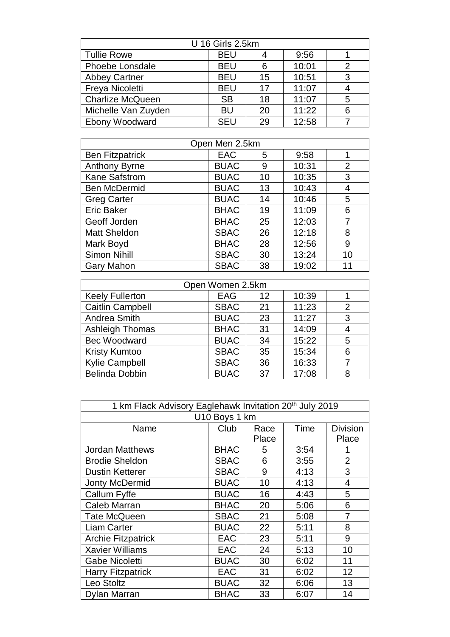| U 16 Girls 2.5km        |            |    |       |   |
|-------------------------|------------|----|-------|---|
| <b>Tullie Rowe</b>      | <b>BEU</b> |    | 9:56  |   |
| Phoebe Lonsdale         | <b>BEU</b> | 6  | 10:01 | 2 |
| <b>Abbey Cartner</b>    | <b>BEU</b> | 15 | 10:51 | 3 |
| Freya Nicoletti         | <b>BEU</b> | 17 | 11:07 |   |
| <b>Charlize McQueen</b> | <b>SB</b>  | 18 | 11:07 | 5 |
| Michelle Van Zuyden     | BU         | 20 | 11:22 | 6 |
| <b>Ebony Woodward</b>   | <b>SEU</b> | 29 | 12:58 |   |

| Open Men 2.5km         |             |    |       |                |
|------------------------|-------------|----|-------|----------------|
| <b>Ben Fitzpatrick</b> | <b>EAC</b>  | 5  | 9:58  |                |
| <b>Anthony Byrne</b>   | <b>BUAC</b> | 9  | 10:31 | $\overline{2}$ |
| <b>Kane Safstrom</b>   | <b>BUAC</b> | 10 | 10:35 | 3              |
| <b>Ben McDermid</b>    | <b>BUAC</b> | 13 | 10:43 | 4              |
| <b>Greg Carter</b>     | <b>BUAC</b> | 14 | 10:46 | 5              |
| <b>Eric Baker</b>      | <b>BHAC</b> | 19 | 11:09 | 6              |
| Geoff Jorden           | <b>BHAC</b> | 25 | 12:03 | 7              |
| <b>Matt Sheldon</b>    | <b>SBAC</b> | 26 | 12:18 | 8              |
| Mark Boyd              | <b>BHAC</b> | 28 | 12:56 | 9              |
| Simon Nihill           | <b>SBAC</b> | 30 | 13:24 | 10             |
| <b>Gary Mahon</b>      | <b>SBAC</b> | 38 | 19:02 | 11             |

| Open Women 2.5km        |             |    |       |                |
|-------------------------|-------------|----|-------|----------------|
| <b>Keely Fullerton</b>  | <b>EAG</b>  | 12 | 10:39 |                |
| <b>Caitlin Campbell</b> | <b>SBAC</b> | 21 | 11:23 | $\overline{2}$ |
| Andrea Smith            | <b>BUAC</b> | 23 | 11:27 | 3              |
| <b>Ashleigh Thomas</b>  | <b>BHAC</b> | 31 | 14:09 |                |
| <b>Bec Woodward</b>     | <b>BUAC</b> | 34 | 15:22 | 5              |
| <b>Kristy Kumtoo</b>    | <b>SBAC</b> | 35 | 15:34 | 6              |
| <b>Kylie Campbell</b>   | <b>SBAC</b> | 36 | 16:33 |                |
| <b>Belinda Dobbin</b>   | <b>BUAC</b> | 37 | 17:08 | 8              |

| 1 km Flack Advisory Eaglehawk Invitation 20 <sup>th</sup> July 2019 |             |       |      |                 |  |  |  |
|---------------------------------------------------------------------|-------------|-------|------|-----------------|--|--|--|
| U10 Boys 1 km                                                       |             |       |      |                 |  |  |  |
| Name                                                                | Club        | Race  | Time | <b>Division</b> |  |  |  |
|                                                                     |             | Place |      | Place           |  |  |  |
| <b>Jordan Matthews</b>                                              | <b>BHAC</b> | 5     | 3:54 |                 |  |  |  |
| <b>Brodie Sheldon</b>                                               | <b>SBAC</b> | 6     | 3:55 | $\overline{2}$  |  |  |  |
| <b>Dustin Ketterer</b>                                              | <b>SBAC</b> | 9     | 4:13 | 3               |  |  |  |
| <b>Jonty McDermid</b>                                               | <b>BUAC</b> | 10    | 4:13 | 4               |  |  |  |
| Callum Fyffe                                                        | <b>BUAC</b> | 16    | 4:43 | 5               |  |  |  |
| Caleb Marran                                                        | <b>BHAC</b> | 20    | 5:06 | 6               |  |  |  |
| <b>Tate McQueen</b>                                                 | <b>SBAC</b> | 21    | 5:08 | 7               |  |  |  |
| <b>Liam Carter</b>                                                  | <b>BUAC</b> | 22    | 5:11 | 8               |  |  |  |
| <b>Archie Fitzpatrick</b>                                           | <b>EAC</b>  | 23    | 5:11 | 9               |  |  |  |
| <b>Xavier Williams</b>                                              | <b>EAC</b>  | 24    | 5:13 | 10              |  |  |  |
| Gabe Nicoletti                                                      | <b>BUAC</b> | 30    | 6:02 | 11              |  |  |  |
| <b>Harry Fitzpatrick</b>                                            | <b>EAC</b>  | 31    | 6:02 | 12              |  |  |  |
| Leo Stoltz                                                          | <b>BUAC</b> | 32    | 6:06 | 13              |  |  |  |
| <b>Dylan Marran</b>                                                 | <b>BHAC</b> | 33    | 6:07 | 14              |  |  |  |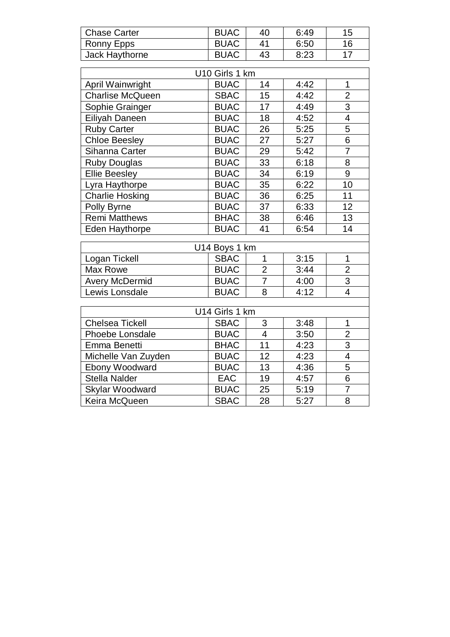| <b>Chase Carter</b>     | <b>BUAC</b>    | 40              | 6:49 | 15             |  |  |  |  |
|-------------------------|----------------|-----------------|------|----------------|--|--|--|--|
| Ronny Epps              | <b>BUAC</b>    | 41              | 6:50 | 16             |  |  |  |  |
| Jack Haythorne          | <b>BUAC</b>    | 43              | 8:23 | 17             |  |  |  |  |
|                         |                |                 |      |                |  |  |  |  |
| U10 Girls 1 km          |                |                 |      |                |  |  |  |  |
| April Wainwright        | <b>BUAC</b>    | 14              | 4:42 | $\mathbf 1$    |  |  |  |  |
| <b>Charlise McQueen</b> | <b>SBAC</b>    | 15              | 4:42 | $\overline{2}$ |  |  |  |  |
| Sophie Grainger         | <b>BUAC</b>    | 17              | 4:49 | $\overline{3}$ |  |  |  |  |
| Eiliyah Daneen          | <b>BUAC</b>    | 18              | 4:52 | $\overline{4}$ |  |  |  |  |
| <b>Ruby Carter</b>      | <b>BUAC</b>    | 26              | 5:25 | 5              |  |  |  |  |
| <b>Chloe Beesley</b>    | <b>BUAC</b>    | 27              | 5:27 | $\overline{6}$ |  |  |  |  |
| Sihanna Carter          | <b>BUAC</b>    | 29              | 5:42 | $\overline{7}$ |  |  |  |  |
| <b>Ruby Douglas</b>     | <b>BUAC</b>    | 33              | 6:18 | $\overline{8}$ |  |  |  |  |
| <b>Ellie Beesley</b>    | <b>BUAC</b>    | 34              | 6:19 | $\overline{9}$ |  |  |  |  |
| Lyra Haythorpe          | <b>BUAC</b>    | 35              | 6:22 | 10             |  |  |  |  |
| <b>Charlie Hosking</b>  | <b>BUAC</b>    | 36              | 6:25 | 11             |  |  |  |  |
| Polly Byrne             | <b>BUAC</b>    | $\overline{37}$ | 6:33 | 12             |  |  |  |  |
| Remi Matthews           | <b>BHAC</b>    | 38              | 6:46 | 13             |  |  |  |  |
| <b>Eden Haythorpe</b>   | <b>BUAC</b>    | 41              | 6:54 | 14             |  |  |  |  |
|                         | U14 Boys 1 km  |                 |      |                |  |  |  |  |
| Logan Tickell           | <b>SBAC</b>    | $\overline{1}$  | 3:15 | 1              |  |  |  |  |
| Max Rowe                | <b>BUAC</b>    | $\overline{2}$  | 3:44 | $\overline{2}$ |  |  |  |  |
| <b>Avery McDermid</b>   | <b>BUAC</b>    | 7               | 4:00 | 3              |  |  |  |  |
| Lewis Lonsdale          | <b>BUAC</b>    | 8               | 4:12 | $\overline{4}$ |  |  |  |  |
|                         |                |                 |      |                |  |  |  |  |
|                         | U14 Girls 1 km |                 |      |                |  |  |  |  |
| <b>Chelsea Tickell</b>  | <b>SBAC</b>    | 3               | 3:48 | 1              |  |  |  |  |
| Phoebe Lonsdale         | <b>BUAC</b>    | $\overline{4}$  | 3:50 | $\overline{2}$ |  |  |  |  |
| Emma Benetti            | <b>BHAC</b>    | 11              | 4:23 | $\overline{3}$ |  |  |  |  |
| Michelle Van Zuyden     | <b>BUAC</b>    | 12              | 4:23 | $\overline{4}$ |  |  |  |  |
| Ebony Woodward          | <b>BUAC</b>    | 13              | 4:36 | 5              |  |  |  |  |
| <b>Stella Nalder</b>    | <b>EAC</b>     | 19              | 4:57 | $\overline{6}$ |  |  |  |  |
| Skylar Woodward         | <b>BUAC</b>    | 25              | 5:19 | $\overline{7}$ |  |  |  |  |
| Keira McQueen           | <b>SBAC</b>    | 28              | 5:27 | 8              |  |  |  |  |